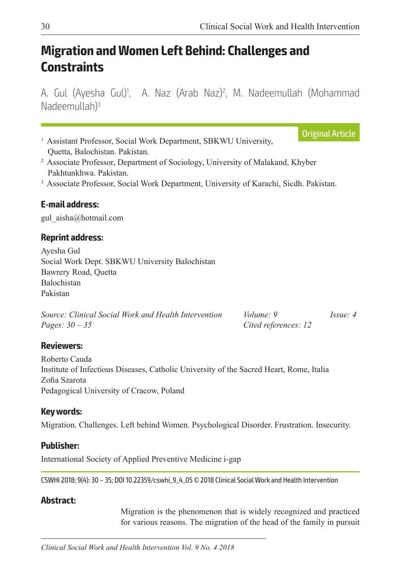Original Article

# **Migration and Women Left Behind: Challenges and Constraints**

A. Gul (Ayesha Gul)<sup>1</sup>, A. Naz (Arab Naz)<sup>2</sup>, M. Nadeemullah (Mohammad Nadeemullah)3

- <sup>1</sup> Assistant Professor, Social Work Department, SBKWU University, Quetta, Balochistan. Pakistan.
- <sup>2</sup> Associate Professor, Department of Sociology, University of Malakand, Khyber Pakhtunkhwa. Pakistan.
- <sup>3</sup> Associate Professor, Social Work Department, University of Karachi, Sicdh. Pakistan.

#### **E-mail address:**

gul\_aisha@hotmail.com

#### **Reprint address:**

Ayesha Gul Social Work Dept. SBKWU University Balochistan Bawrery Road, Quetta Balochistan Pakistan

| Source: Clinical Social Work and Health Intervention | Volume: 9            | $I_{SS}ue:4$ |
|------------------------------------------------------|----------------------|--------------|
| <i>Pages:</i> $30 - 35$                              | Cited references: 12 |              |

#### **Reviewers:**

Roberto Cauda Institute of Infectious Diseases, Catholic University of the Sacred Heart, Rome, Italia Zofia Szarota Pedagogical University of Cracow, Poland

#### **Key words:**

Migration. Challenges. Left behind Women. Psychological Disorder. Frustration. Insecurity.

#### **Publisher:**

International Society of Applied Preventive Medicine i-gap

CSWHI 2018; 9(4): 30 – 35; DOI 10.22359/cswhi\_9\_4\_05 © 2018 Clinical Social Work and Health Intervention

#### **Abstract:**

Migration is the phenomenon that is widely recognized and practiced for various reasons. The migration of the head of the family in pursuit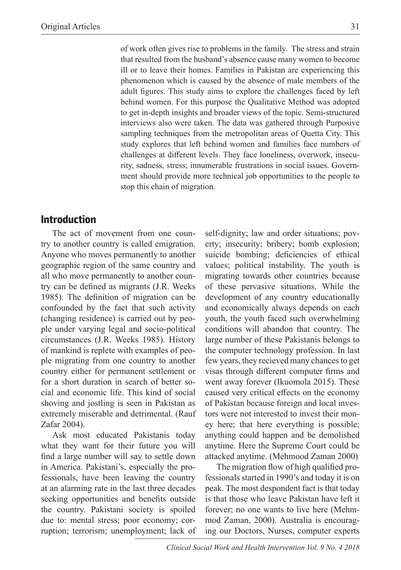of work often gives rise to problems in the family. The stress and strain that resulted from the husband's absence cause many women to become ill or to leave their homes. Families in Pakistan are experiencing this phenomenon which is caused by the absence of male members of the adult figures. This study aims to explore the challenges faced by left behind women. For this purpose the Qualitative Method was adopted to get in-depth insights and broader views of the topic. Semi-structured interviews also were taken. The data was gathered through Purposive sampling techniques from the metropolitan areas of Quetta City. This study explores that left behind women and families face numbers of challenges at different levels. They face loneliness, overwork, insecurity, sadness, stress; innumerable frustrations in social issues. Government should provide more technical job opportunities to the people to stop this chain of migration.

### **Introduction**

The act of movement from one country to another country is called emigration. Anyone who moves permanently to another geographic region of the same country and all who move permanently to another country can be defined as migrants (J.R. Weeks 1985). The definition of migration can be confounded by the fact that such activity (changing residence) is carried out by people under varying legal and socio-political circumstances (J.R. Weeks 1985). History of mankind is replete with examples of people migrating from one country to another country either for permanent settlement or for a short duration in search of better social and economic life. This kind of social shoving and jostling is seen in Pakistan as extremely miserable and detrimental. (Rauf Zafar 2004).

Ask most educated Pakistanis today what they want for their future you will find a large number will say to settle down in America. Pakistani's, especially the professionals, have been leaving the country at an alarming rate in the last three decades seeking opportunities and benefits outside the country. Pakistani society is spoiled due to: mental stress; poor economy; corruption; terrorism; unemployment; lack of self-dignity; law and order situations; poverty; insecurity; bribery; bomb explosion; suicide bombing; deficiencies of ethical values; political instability. The youth is migrating towards other countries because of these pervasive situations. While the development of any country educationally and economically always depends on each youth, the youth faced such overwhelming conditions will abandon that country. The large number of these Pakistanis belongs to the computer technology profession. In last few years, they recieved many chances to get visas through different computer firms and went away forever (Ikuomola 2015). These caused very critical effects on the economy of Pakistan because foreign and local investors were not interested to invest their money here; that here everything is possible; anything could happen and be demolished anytime. Here the Supreme Court could be attacked anytime. (Mehmood Zaman 2000)

The migration flow of high qualified professionals started in 1990's and today it is on peak. The most despondent fact is that today is that those who leave Pakistan have left it forever; no one wants to live here (Mehmmod Zaman, 2000). Australia is encouraging our Doctors, Nurses, computer experts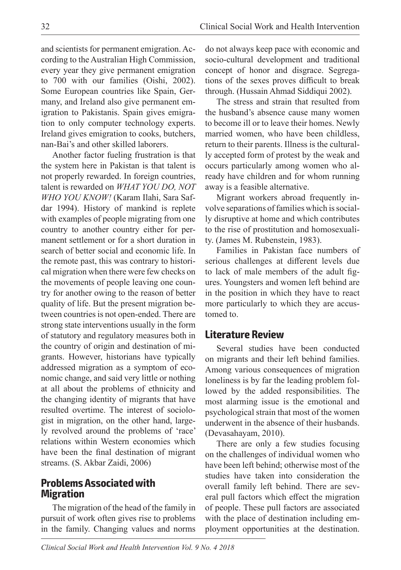and scientists for permanent emigration. According to the Australian High Commission, every year they give permanent emigration to 700 with our families (Oishi, 2002). Some European countries like Spain, Germany, and Ireland also give permanent emigration to Pakistanis. Spain gives emigration to only computer technology experts. Ireland gives emigration to cooks, butchers, nan-Bai's and other skilled laborers.

Another factor fueling frustration is that the system here in Pakistan is that talent is not properly rewarded. In foreign countries, talent is rewarded on *WHAT YOU DO, NOT WHO YOU KNOW!* (Karam Ilahi, Sara Safdar 1994). History of mankind is replete with examples of people migrating from one country to another country either for permanent settlement or for a short duration in search of better social and economic life. In the remote past, this was contrary to historical migration when there were few checks on the movements of people leaving one country for another owing to the reason of better quality of life. But the present migration between countries is not open-ended. There are strong state interventions usually in the form of statutory and regulatory measures both in the country of origin and destination of migrants. However, historians have typically addressed migration as a symptom of economic change, and said very little or nothing at all about the problems of ethnicity and the changing identity of migrants that have resulted overtime. The interest of sociologist in migration, on the other hand, largely revolved around the problems of 'race' relations within Western economies which have been the final destination of migrant streams. (S. Akbar Zaidi, 2006)

### **Problems Associated with Migration**

The migration of the head of the family in pursuit of work often gives rise to problems in the family. Changing values and norms

do not always keep pace with economic and socio-cultural development and traditional concept of honor and disgrace. Segregations of the sexes proves difficult to break through. (Hussain Ahmad Siddiqui 2002).

The stress and strain that resulted from the husband's absence cause many women to become ill or to leave their homes. Newly married women, who have been childless, return to their parents. Illness is the culturally accepted form of protest by the weak and occurs particularly among women who already have children and for whom running away is a feasible alternative.

Migrant workers abroad frequently involve separations of families which is socially disruptive at home and which contributes to the rise of prostitution and homosexuality. (James M. Rubenstein, 1983).

Families in Pakistan face numbers of serious challenges at different levels due to lack of male members of the adult figures. Youngsters and women left behind are in the position in which they have to react more particularly to which they are accustomed to.

#### **Literature Review**

Several studies have been conducted on migrants and their left behind families. Among various consequences of migration loneliness is by far the leading problem followed by the added responsibilities. The most alarming issue is the emotional and psychological strain that most of the women underwent in the absence of their husbands. (Devasahayam, 2010).

There are only a few studies focusing on the challenges of individual women who have been left behind; otherwise most of the studies have taken into consideration the overall family left behind. There are several pull factors which effect the migration of people. These pull factors are associated with the place of destination including employment opportunities at the destination.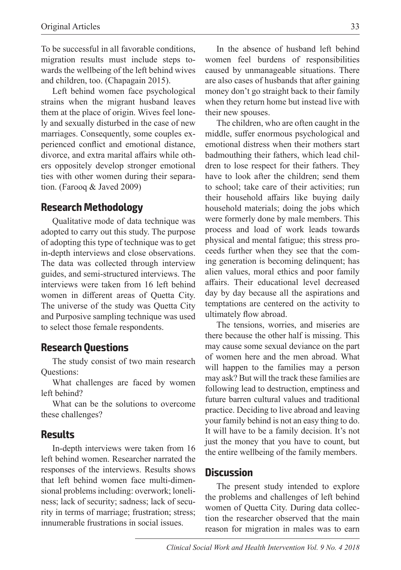To be successful in all favorable conditions, migration results must include steps towards the wellbeing of the left behind wives and children, too. (Chapagain 2015).

Left behind women face psychological strains when the migrant husband leaves them at the place of origin. Wives feel lonely and sexually disturbed in the case of new marriages. Consequently, some couples experienced conflict and emotional distance, divorce, and extra marital affairs while others oppositely develop stronger emotional ties with other women during their separation. (Farooq & Javed 2009)

#### **Research Methodology**

Qualitative mode of data technique was adopted to carry out this study. The purpose of adopting this type of technique was to get in-depth interviews and close observations. The data was collected through interview guides, and semi-structured interviews. The interviews were taken from 16 left behind women in different areas of Quetta City. The universe of the study was Quetta City and Purposive sampling technique was used to select those female respondents.

#### **Research Questions**

The study consist of two main research Questions:

What challenges are faced by women left behind?

What can be the solutions to overcome these challenges?

#### **Results**

In-depth interviews were taken from 16 left behind women. Researcher narrated the responses of the interviews. Results shows that left behind women face multi-dimensional problems including: overwork; loneliness; lack of security; sadness; lack of security in terms of marriage; frustration; stress; innumerable frustrations in social issues.

In the absence of husband left behind women feel burdens of responsibilities caused by unmanageable situations. There are also cases of husbands that after gaining money don't go straight back to their family when they return home but instead live with their new spouses.

The children, who are often caught in the middle, suffer enormous psychological and emotional distress when their mothers start badmouthing their fathers, which lead children to lose respect for their fathers. They have to look after the children; send them to school; take care of their activities; run their household affairs like buying daily household materials; doing the jobs which were formerly done by male members. This process and load of work leads towards physical and mental fatigue; this stress proceeds further when they see that the coming generation is becoming delinquent; has alien values, moral ethics and poor family affairs. Their educational level decreased day by day because all the aspirations and temptations are centered on the activity to ultimately flow abroad.

The tensions, worries, and miseries are there because the other half is missing. This may cause some sexual deviance on the part of women here and the men abroad. What will happen to the families may a person may ask? But will the track these families are following lead to destruction, emptiness and future barren cultural values and traditional practice. Deciding to live abroad and leaving your family behind is not an easy thing to do. It will have to be a family decision. It's not just the money that you have to count, but the entire wellbeing of the family members.

#### **Discussion**

The present study intended to explore the problems and challenges of left behind women of Quetta City. During data collection the researcher observed that the main reason for migration in males was to earn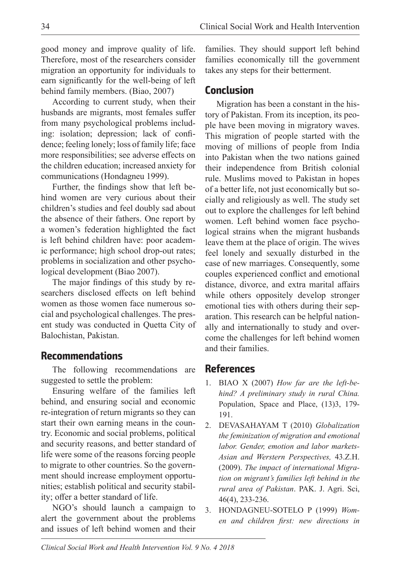good money and improve quality of life. Therefore, most of the researchers consider migration an opportunity for individuals to earn significantly for the well-being of left behind family members. (Biao, 2007)

According to current study, when their husbands are migrants, most females suffer from many psychological problems including: isolation; depression; lack of confidence; feeling lonely; loss of family life; face more responsibilities; see adverse effects on the children education; increased anxiety for communications (Hondagneu 1999).

Further, the findings show that left behind women are very curious about their children's studies and feel doubly sad about the absence of their fathers. One report by a women's federation highlighted the fact is left behind children have: poor academic performance; high school drop-out rates; problems in socialization and other psychological development (Biao 2007).

The major findings of this study by researchers disclosed effects on left behind women as those women face numerous social and psychological challenges. The present study was conducted in Quetta City of Balochistan, Pakistan.

## **Recommendations**

The following recommendations are suggested to settle the problem:

Ensuring welfare of the families left behind, and ensuring social and economic re-integration of return migrants so they can start their own earning means in the country. Economic and social problems, political and security reasons, and better standard of life were some of the reasons forcing people to migrate to other countries. So the government should increase employment opportunities; establish political and security stability; offer a better standard of life.

NGO's should launch a campaign to alert the government about the problems and issues of left behind women and their

families. They should support left behind families economically till the government takes any steps for their betterment.

# **Conclusion**

Migration has been a constant in the history of Pakistan. From its inception, its people have been moving in migratory waves. This migration of people started with the moving of millions of people from India into Pakistan when the two nations gained their independence from British colonial rule. Muslims moved to Pakistan in hopes of a better life, not just economically but socially and religiously as well. The study set out to explore the challenges for left behind women. Left behind women face psychological strains when the migrant husbands leave them at the place of origin. The wives feel lonely and sexually disturbed in the case of new marriages. Consequently, some couples experienced conflict and emotional distance, divorce, and extra marital affairs while others oppositely develop stronger emotional ties with others during their separation. This research can be helpful nationally and internationally to study and overcome the challenges for left behind women and their families.

## **References**

- 1. BIAO X (2007) *How far are the left-behind? A preliminary study in rural China.* Population, Space and Place, (13)3, 179- 191.
- 2. DEVASAHAYAM T (2010) *Globalization the feminization of migration and emotional labor. Gender, emotion and labor markets-Asian and Werstern Perspectives,* 43.Z.H. (2009). *The impact of international Migration on migrant's families left behind in the rural area of Pakistan*. PAK. J. Agri. Sci, 46(4), 233-236.
- 3. HONDAGNEU-SOTELO P (1999) *Women and children first: new directions in*